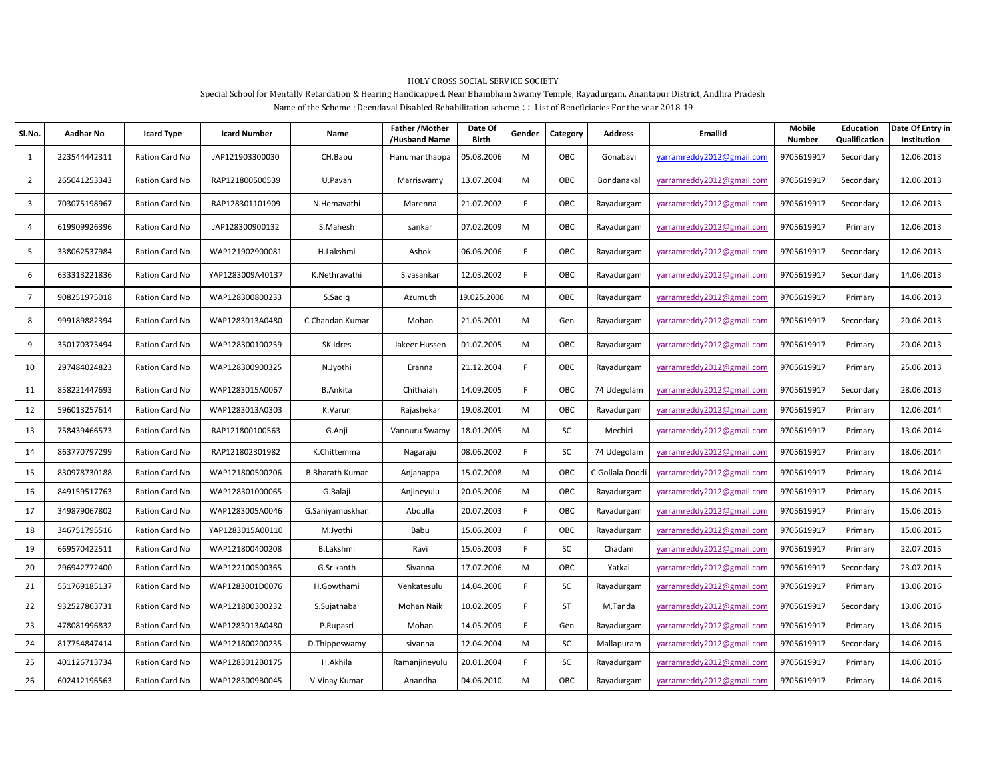## HOLY CROSS SOCIAL SERVICE SOCIETY

## Special School for Mentally Retardation & Hearing Handicapped, Near Bhambham Swamy Temple, Rayadurgam, Anantapur District, Andhra Pradesh

Name of the Scheme : Deendayal Disabled Rehabilitation scheme : : List of Beneficiaries For the year 2018-19

| SI.No.         | Aadhar No    | Icard Type     | <b>Icard Number</b> | Name                   | Father / Mother<br>/Husband Name | Date Of<br>Birth | Gender | Category | Address         | <b>EmailId</b>            | <b>Mobile</b><br>Number | Education<br>Qualification | Date Of Entry in<br>Institution |
|----------------|--------------|----------------|---------------------|------------------------|----------------------------------|------------------|--------|----------|-----------------|---------------------------|-------------------------|----------------------------|---------------------------------|
| 1              | 223544442311 | Ration Card No | JAP121903300030     | CH.Babu                | Hanumanthappa                    | 05.08.2006       | M      | OBC      | Gonabavi        | yarramreddy2012@gmail.com | 9705619917              | Secondary                  | 12.06.2013                      |
| $\overline{2}$ | 265041253343 | Ration Card No | RAP121800500539     | U.Pavan                | Marriswamy                       | 13.07.2004       | M      | OBC      | Bondanakal      | yarramreddy2012@gmail.com | 9705619917              | Secondary                  | 12.06.2013                      |
| 3              | 703075198967 | Ration Card No | RAP128301101909     | N.Hemavathi            | Marenna                          | 21.07.2002       | F      | OBC      | Rayadurgam      | yarramreddy2012@gmail.com | 9705619917              | Secondary                  | 12.06.2013                      |
| 4              | 619909926396 | Ration Card No | JAP128300900132     | S.Mahesh               | sankar                           | 07.02.2009       | M      | OBC      | Rayadurgam      | yarramreddy2012@gmail.com | 9705619917              | Primary                    | 12.06.2013                      |
| 5              | 338062537984 | Ration Card No | WAP121902900081     | H.Lakshmi              | Ashok                            | 06.06.2006       | F      | OBC      | Rayadurgam      | yarramreddy2012@gmail.com | 9705619917              | Secondary                  | 12.06.2013                      |
| 6              | 633313221836 | Ration Card No | YAP1283009A40137    | K.Nethravathi          | Sivasankar                       | 12.03.2002       | F.     | OBC      | Rayadurgam      | yarramreddy2012@gmail.com | 9705619917              | Secondary                  | 14.06.2013                      |
| $\overline{7}$ | 908251975018 | Ration Card No | WAP128300800233     | S.Sadig                | Azumuth                          | 19.025.2006      | M      | OBC      | Rayadurgam      | varramreddy2012@gmail.com | 9705619917              | Primary                    | 14.06.2013                      |
| 8              | 999189882394 | Ration Card No | WAP1283013A0480     | C.Chandan Kumar        | Mohan                            | 21.05.2001       | M      | Gen      | Rayadurgam      | yarramreddy2012@gmail.com | 9705619917              | Secondary                  | 20.06.2013                      |
| 9              | 350170373494 | Ration Card No | WAP128300100259     | SK.Idres               | Jakeer Hussen                    | 01.07.2005       | M      | OBC      | Rayadurgam      | yarramreddy2012@gmail.com | 9705619917              | Primary                    | 20.06.2013                      |
| 10             | 297484024823 | Ration Card No | WAP128300900325     | N.Jyothi               | Eranna                           | 21.12.2004       | F      | OBC      | Rayadurgam      | yarramreddy2012@gmail.com | 9705619917              | Primary                    | 25.06.2013                      |
| 11             | 858221447693 | Ration Card No | WAP1283015A0067     | <b>B.Ankita</b>        | Chithaiah                        | 14.09.2005       | F      | OBC      | 74 Udegolam     | yarramreddy2012@gmail.com | 9705619917              | Secondary                  | 28.06.2013                      |
| 12             | 596013257614 | Ration Card No | WAP1283013A0303     | K.Varun                | Rajashekar                       | 19.08.2001       | M      | OBC      | Rayadurgam      | yarramreddy2012@gmail.com | 9705619917              | Primary                    | 12.06.2014                      |
| 13             | 758439466573 | Ration Card No | RAP121800100563     | G.Anji                 | Vannuru Swamy                    | 18.01.2005       | M      | SC       | Mechiri         | yarramreddy2012@gmail.com | 9705619917              | Primary                    | 13.06.2014                      |
| 14             | 863770797299 | Ration Card No | RAP121802301982     | K.Chittemma            | Nagaraju                         | 08.06.2002       | F.     | SC       | 74 Udegolam     | yarramreddy2012@gmail.com | 9705619917              | Primary                    | 18.06.2014                      |
| 15             | 830978730188 | Ration Card No | WAP121800500206     | <b>B.Bharath Kumar</b> | Anjanappa                        | 15.07.2008       | M      | OBC      | C.Gollala Doddi | varramreddy2012@gmail.com | 9705619917              | Primary                    | 18.06.2014                      |
| 16             | 849159517763 | Ration Card No | WAP128301000065     | G.Balaji               | Anjineyulu                       | 20.05.2006       | M      | OBC      | Rayadurgam      | varramreddy2012@gmail.com | 9705619917              | Primary                    | 15.06.2015                      |
| 17             | 349879067802 | Ration Card No | WAP1283005A0046     | G.Saniyamuskhan        | Abdulla                          | 20.07.2003       | F.     | OBC      | Rayadurgam      | yarramreddy2012@gmail.com | 9705619917              | Primary                    | 15.06.2015                      |
| 18             | 346751795516 | Ration Card No | YAP1283015A00110    | M.Jyothi               | Babu                             | 15.06.2003       | F.     | OBC      | Rayadurgam      | yarramreddy2012@gmail.com | 9705619917              | Primary                    | 15.06.2015                      |
| 19             | 669570422511 | Ration Card No | WAP121800400208     | <b>B.Lakshmi</b>       | Ravi                             | 15.05.2003       | F      | SC       | Chadam          | yarramreddy2012@gmail.com | 9705619917              | Primary                    | 22.07.2015                      |
| 20             | 296942772400 | Ration Card No | WAP122100500365     | G.Srikanth             | Sivanna                          | 17.07.2006       | M      | OBC      | Yatkal          | yarramreddy2012@gmail.com | 9705619917              | Secondary                  | 23.07.2015                      |
| 21             | 551769185137 | Ration Card No | WAP1283001D0076     | H.Gowthami             | Venkatesulu                      | 14.04.2006       | F.     | SC       | Rayadurgam      | yarramreddy2012@gmail.com | 9705619917              | Primary                    | 13.06.2016                      |
| 22             | 932527863731 | Ration Card No | WAP121800300232     | S.Sujathabai           | Mohan Naik                       | 10.02.2005       | F      | ST       | M.Tanda         | yarramreddy2012@gmail.com | 9705619917              | Secondary                  | 13.06.2016                      |
| 23             | 478081996832 | Ration Card No | WAP1283013A0480     | P.Rupasri              | Mohan                            | 14.05.2009       | F      | Gen      | Rayadurgam      | yarramreddy2012@gmail.com | 9705619917              | Primary                    | 13.06.2016                      |
| 24             | 817754847414 | Ration Card No | WAP121800200235     | D.Thippeswamy          | sivanna                          | 12.04.2004       | M      | SC       | Mallapuram      | yarramreddy2012@gmail.com | 9705619917              | Secondary                  | 14.06.2016                      |
| 25             | 401126713734 | Ration Card No | WAP1283012B0175     | H.Akhila               | Ramanjineyulu                    | 20.01.2004       | F      | SC       | Rayadurgam      | varramreddy2012@gmail.com | 9705619917              | Primary                    | 14.06.2016                      |
| 26             | 602412196563 | Ration Card No | WAP1283009B0045     | V.Vinay Kumar          | Anandha                          | 04.06.2010       | M      | OBC      | Rayadurgam      | varramreddy2012@gmail.com | 9705619917              | Primary                    | 14.06.2016                      |